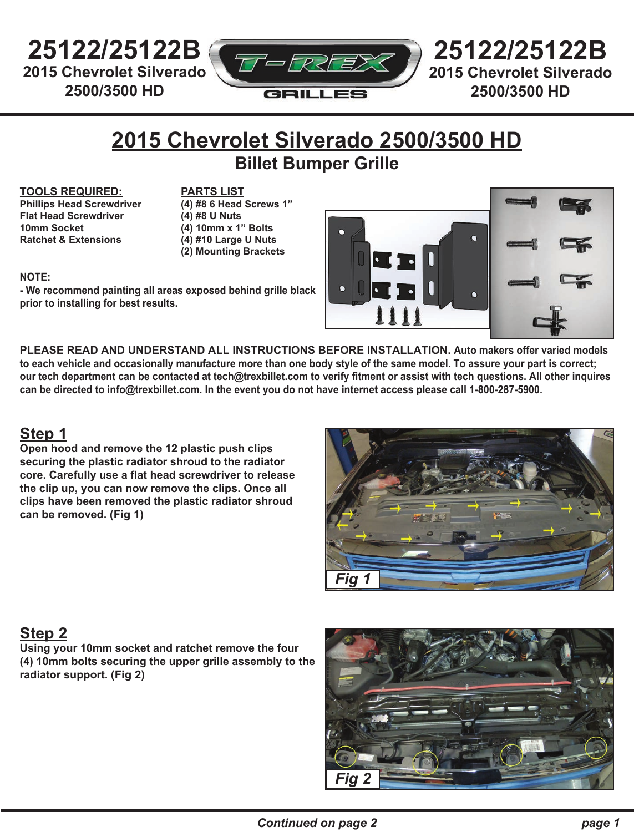**25122/25122B 2015 Chevrolet Silverado 2500/3500 HD** 



**25122/25122B 2015 Chevrolet Silverado 2500/3500 HD** 

## **2015 Chevrolet Silverado 2500/3500 HD Billet Bumper Grille**

#### **TOOLS REQUIRED:**

**Phillips Head Screwdriver Flat Head Screwdriver 10mm Socket Ratchet & Extensions**

**PARTS LIST (4) #8 6 Head Screws 1" (4) #8 U Nuts (4) 10mm x 1" Bolts (4) #10 Large U Nuts (2) Mounting Brackets**

### **NOTE:**

**- We recommend painting all areas exposed behind grille black prior to installing for best results.**



**PLEASE READ AND UNDERSTAND ALL INSTRUCTIONS BEFORE INSTALLATION. Auto makers offer varied models to each vehicle and occasionally manufacture more than one body style of the same model. To assure your part is correct; our tech department can be contacted at tech@trexbillet.com to verify fitment or assist with tech questions. All other inquires can be directed to info@trexbillet.com. In the event you do not have internet access please call 1-800-287-5900.**

### **Step 1**

**Open hood and remove the 12 plastic push clips securing the plastic radiator shroud to the radiator core. Carefully use a flat head screwdriver to release the clip up, you can now remove the clips. Once all clips have been removed the plastic radiator shroud can be removed. (Fig 1)**



### **Step 2**

**Using your 10mm socket and ratchet remove the four (4) 10mm bolts securing the upper grille assembly to the radiator support. (Fig 2)**